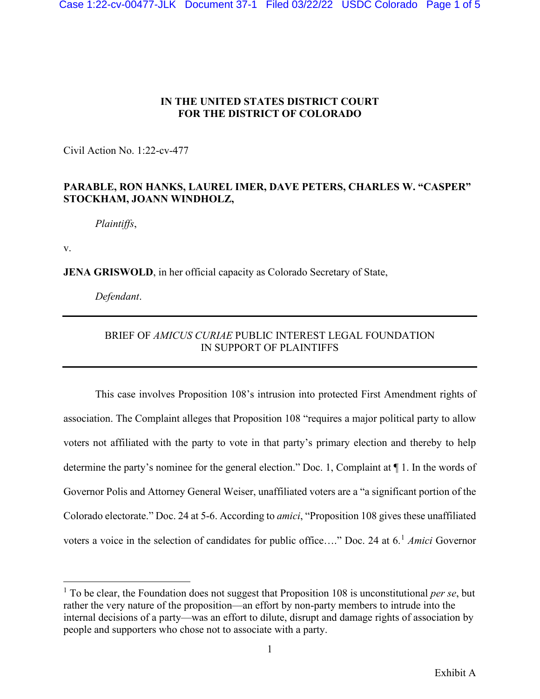## **IN THE UNITED STATES DISTRICT COURT FOR THE DISTRICT OF COLORADO**

Civil Action No. 1:22-cv-477

## **PARABLE, RON HANKS, LAUREL IMER, DAVE PETERS, CHARLES W. "CASPER" STOCKHAM, JOANN WINDHOLZ,**

*Plaintiffs*,

v.

**JENA GRISWOLD**, in her official capacity as Colorado Secretary of State,

*Defendant*.

## BRIEF OF *AMICUS CURIAE* PUBLIC INTEREST LEGAL FOUNDATION IN SUPPORT OF PLAINTIFFS

This case involves Proposition 108's intrusion into protected First Amendment rights of association. The Complaint alleges that Proposition 108 "requires a major political party to allow voters not affiliated with the party to vote in that party's primary election and thereby to help determine the party's nominee for the general election." Doc. 1, Complaint at ¶ 1. In the words of Governor Polis and Attorney General Weiser, unaffiliated voters are a "a significant portion of the Colorado electorate." Doc. 24 at 5-6. According to *amici*, "Proposition 108 gives these unaffiliated voters a voice in the selection of candidates for public office…." Doc. 24 at 6. [1](#page-0-0) *Amici* Governor

<span id="page-0-0"></span><sup>&</sup>lt;sup>1</sup> To be clear, the Foundation does not suggest that Proposition 108 is unconstitutional *per se*, but rather the very nature of the proposition—an effort by non-party members to intrude into the internal decisions of a party—was an effort to dilute, disrupt and damage rights of association by people and supporters who chose not to associate with a party.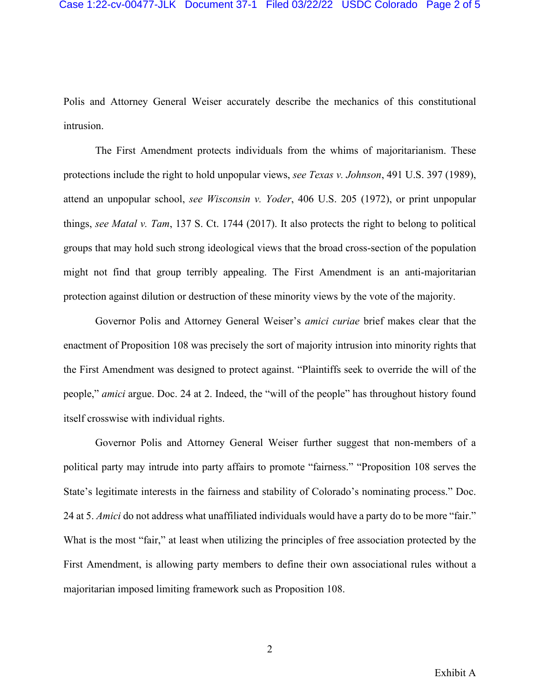Polis and Attorney General Weiser accurately describe the mechanics of this constitutional intrusion.

The First Amendment protects individuals from the whims of majoritarianism. These protections include the right to hold unpopular views, *see Texas v. Johnson*, 491 U.S. 397 (1989), attend an unpopular school, *see Wisconsin v. Yoder*, 406 U.S. 205 (1972), or print unpopular things, *see Matal v. Tam*, 137 S. Ct. 1744 (2017). It also protects the right to belong to political groups that may hold such strong ideological views that the broad cross-section of the population might not find that group terribly appealing. The First Amendment is an anti-majoritarian protection against dilution or destruction of these minority views by the vote of the majority.

Governor Polis and Attorney General Weiser's *amici curiae* brief makes clear that the enactment of Proposition 108 was precisely the sort of majority intrusion into minority rights that the First Amendment was designed to protect against. "Plaintiffs seek to override the will of the people," *amici* argue. Doc. 24 at 2. Indeed, the "will of the people" has throughout history found itself crosswise with individual rights.

Governor Polis and Attorney General Weiser further suggest that non-members of a political party may intrude into party affairs to promote "fairness." "Proposition 108 serves the State's legitimate interests in the fairness and stability of Colorado's nominating process." Doc. 24 at 5. *Amici* do not address what unaffiliated individuals would have a party do to be more "fair." What is the most "fair," at least when utilizing the principles of free association protected by the First Amendment, is allowing party members to define their own associational rules without a majoritarian imposed limiting framework such as Proposition 108.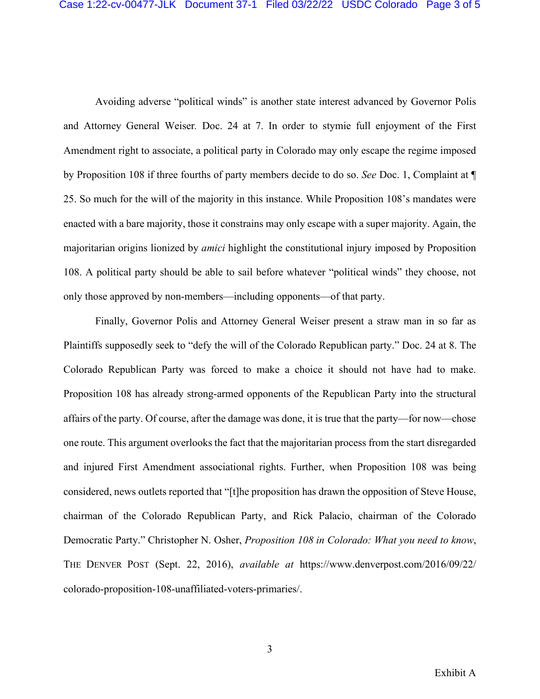Avoiding adverse "political winds" is another state interest advanced by Governor Polis and Attorney General Weiser*.* Doc. 24 at 7. In order to stymie full enjoyment of the First Amendment right to associate, a political party in Colorado may only escape the regime imposed by Proposition 108 if three fourths of party members decide to do so. *See* Doc. 1, Complaint at ¶ 25. So much for the will of the majority in this instance. While Proposition 108's mandates were enacted with a bare majority, those it constrains may only escape with a super majority. Again, the majoritarian origins lionized by *amici* highlight the constitutional injury imposed by Proposition 108. A political party should be able to sail before whatever "political winds" they choose, not only those approved by non-members—including opponents—of that party.

Finally, Governor Polis and Attorney General Weiser present a straw man in so far as Plaintiffs supposedly seek to "defy the will of the Colorado Republican party." Doc. 24 at 8. The Colorado Republican Party was forced to make a choice it should not have had to make. Proposition 108 has already strong-armed opponents of the Republican Party into the structural affairs of the party. Of course, after the damage was done, it is true that the party—for now—chose one route. This argument overlooks the fact that the majoritarian process from the start disregarded and injured First Amendment associational rights. Further, when Proposition 108 was being considered, news outlets reported that "[t]he proposition has drawn the opposition of Steve House, chairman of the Colorado Republican Party, and Rick Palacio, chairman of the Colorado Democratic Party." Christopher N. Osher, *Proposition 108 in Colorado: What you need to know*, THE DENVER POST (Sept. 22, 2016), *available at* https://www.denverpost.com/2016/09/22/ colorado-proposition-108-unaffiliated-voters-primaries/.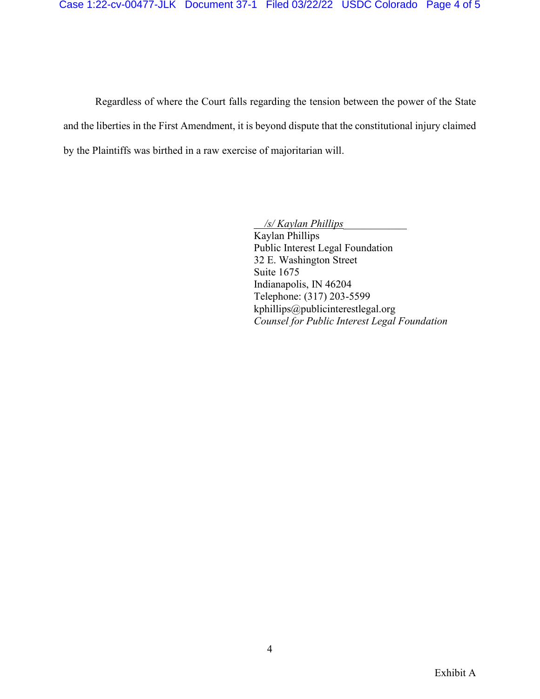Regardless of where the Court falls regarding the tension between the power of the State and the liberties in the First Amendment, it is beyond dispute that the constitutional injury claimed by the Plaintiffs was birthed in a raw exercise of majoritarian will.

> */s/ Kaylan Phillips\_\_\_\_\_\_\_\_\_\_\_\_*  Kaylan Phillips Public Interest Legal Foundation 32 E. Washington Street Suite 1675 Indianapolis, IN 46204 Telephone: (317) 203-5599 kphillips@publicinterestlegal.org *Counsel for Public Interest Legal Foundation*